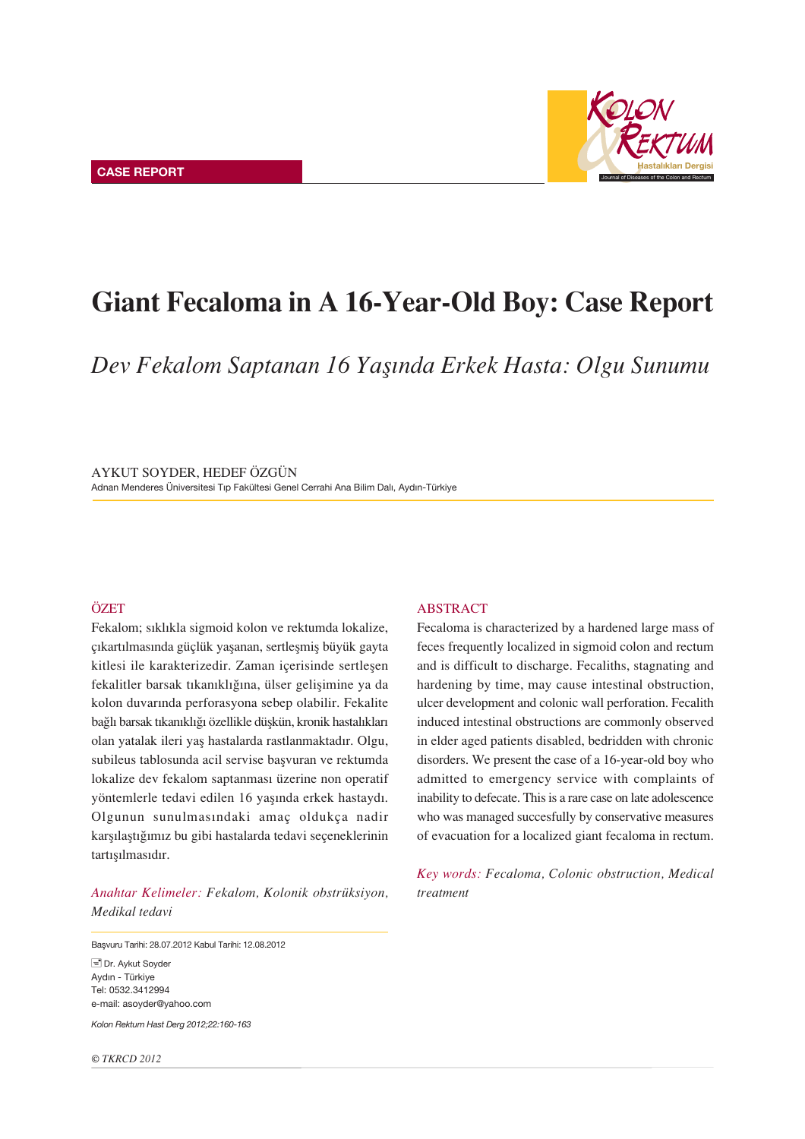

# Giant Fecaloma in A 16-Year-Old Boy: Case Report

*Dev Fekalom Saptanan 16 Yafl›nda Erkek Hasta: Olgu Sunumu*

AYKUT SOYDER, HEDEF ÖZGÜN Adnan Menderes Üniversitesi Tıp Fakültesi Genel Cerrahi Ana Bilim Dalı, Aydın-Türkiye

## **ÖZET**

Fekalom; sıklıkla sigmoid kolon ve rektumda lokalize, çıkartılmasında güçlük yaşanan, sertleşmiş büyük gayta kitlesi ile karakterizedir. Zaman içerisinde sertleşen fekalitler barsak tıkanıklığına, ülser gelişimine ya da kolon duvarında perforasyona sebep olabilir. Fekalite bağlı barsak tıkanıklığı özellikle düşkün, kronik hastalıkları olan yatalak ileri yaş hastalarda rastlanmaktadır. Olgu, subileus tablosunda acil servise başvuran ve rektumda lokalize dev fekalom saptanması üzerine non operatif yöntemlerle tedavi edilen 16 yaşında erkek hastaydı. Olgunun sunulmasındaki amaç oldukça nadir karşılaştığımız bu gibi hastalarda tedavi seçeneklerinin tartısılmasıdır.

*Anahtar Kelimeler: Fekalom, Kolonik obstrüksiyon, Medikal tedavi*

Başvuru Tarihi: 28.07.2012 Kabul Tarihi: 12.08.2012

Dr. Aykut Soyder Aydın - Türkiye Tel: 0532.3412994 e-mail: asoyder@yahoo.com

*Kolon Rektum Hast Derg 2012;22:160-163*

*© TKRCD 2012*

## ABSTRACT

Fecaloma is characterized by a hardened large mass of feces frequently localized in sigmoid colon and rectum and is difficult to discharge. Fecaliths, stagnating and hardening by time, may cause intestinal obstruction, ulcer development and colonic wall perforation. Fecalith induced intestinal obstructions are commonly observed in elder aged patients disabled, bedridden with chronic disorders. We present the case of a 16-year-old boy who admitted to emergency service with complaints of inability to defecate. This is a rare case on late adolescence who was managed succesfully by conservative measures of evacuation for a localized giant fecaloma in rectum.

*Key words: Fecaloma, Colonic obstruction, Medical treatment*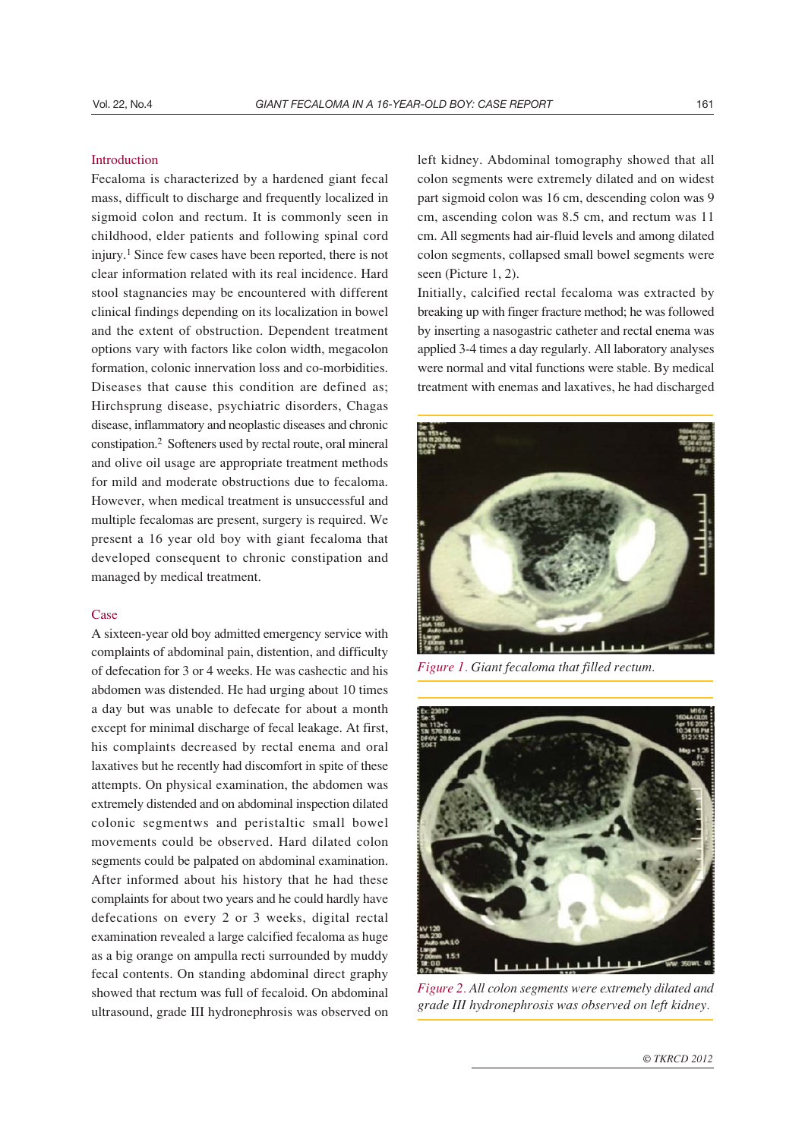## Introduction

Fecaloma is characterized by a hardened giant fecal mass, difficult to discharge and frequently localized in sigmoid colon and rectum. It is commonly seen in childhood, elder patients and following spinal cord injury.1 Since few cases have been reported, there is not clear information related with its real incidence. Hard stool stagnancies may be encountered with different clinical findings depending on its localization in bowel and the extent of obstruction. Dependent treatment options vary with factors like colon width, megacolon formation, colonic innervation loss and co-morbidities. Diseases that cause this condition are defined as; Hirchsprung disease, psychiatric disorders, Chagas disease, inflammatory and neoplastic diseases and chronic constipation.2 Softeners used by rectal route, oral mineral and olive oil usage are appropriate treatment methods for mild and moderate obstructions due to fecaloma. However, when medical treatment is unsuccessful and multiple fecalomas are present, surgery is required. We present a 16 year old boy with giant fecaloma that developed consequent to chronic constipation and managed by medical treatment.

## Case

A sixteen-year old boy admitted emergency service with complaints of abdominal pain, distention, and difficulty of defecation for 3 or 4 weeks. He was cashectic and his abdomen was distended. He had urging about 10 times a day but was unable to defecate for about a month except for minimal discharge of fecal leakage. At first, his complaints decreased by rectal enema and oral laxatives but he recently had discomfort in spite of these attempts. On physical examination, the abdomen was extremely distended and on abdominal inspection dilated colonic segmentws and peristaltic small bowel movements could be observed. Hard dilated colon segments could be palpated on abdominal examination. After informed about his history that he had these complaints for about two years and he could hardly have defecations on every 2 or 3 weeks, digital rectal examination revealed a large calcified fecaloma as huge as a big orange on ampulla recti surrounded by muddy fecal contents. On standing abdominal direct graphy showed that rectum was full of fecaloid. On abdominal ultrasound, grade III hydronephrosis was observed on

left kidney. Abdominal tomography showed that all colon segments were extremely dilated and on widest part sigmoid colon was 16 cm, descending colon was 9 cm, ascending colon was 8.5 cm, and rectum was 11 cm. All segments had air-fluid levels and among dilated colon segments, collapsed small bowel segments were seen (Picture 1, 2).

Initially, calcified rectal fecaloma was extracted by breaking up with finger fracture method; he was followed by inserting a nasogastric catheter and rectal enema was applied 3-4 times a day regularly. All laboratory analyses were normal and vital functions were stable. By medical treatment with enemas and laxatives, he had discharged



*Figure 1. Giant fecaloma that filled rectum.*



*Figure 2. All colon segments were extremely dilated and grade III hydronephrosis was observed on left kidney.*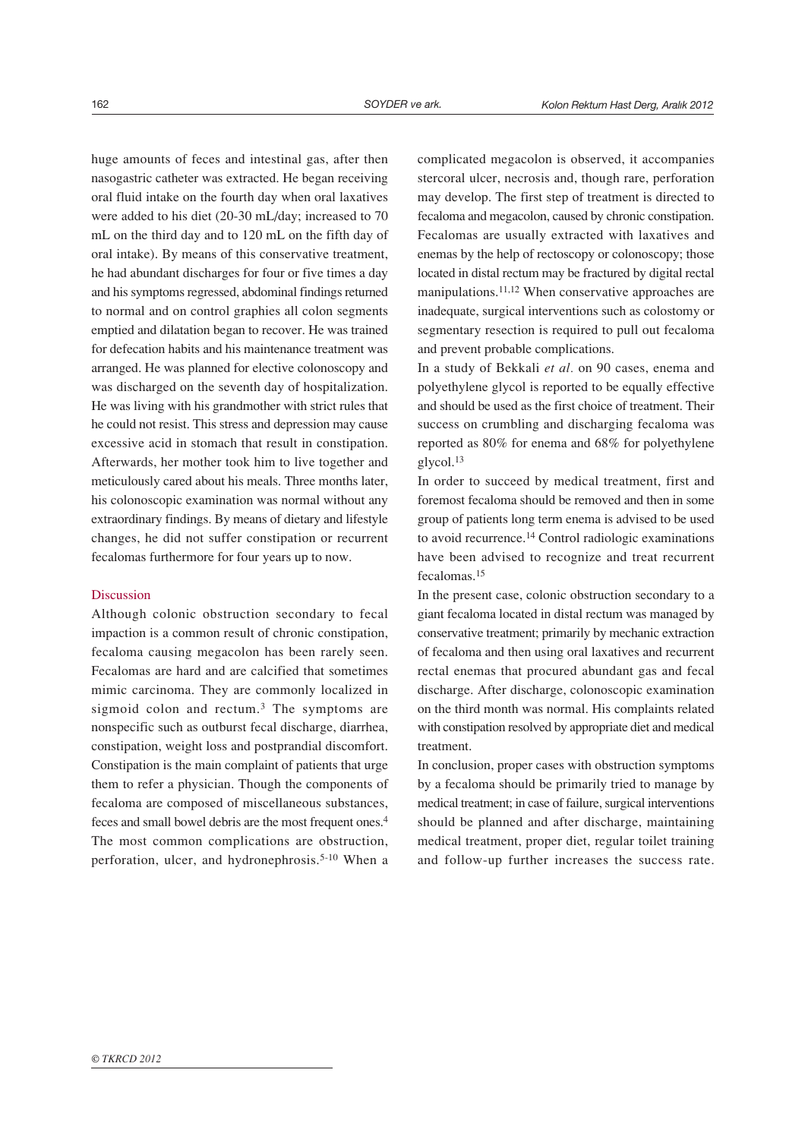huge amounts of feces and intestinal gas, after then nasogastric catheter was extracted. He began receiving oral fluid intake on the fourth day when oral laxatives were added to his diet (20-30 mL/day; increased to 70 mL on the third day and to 120 mL on the fifth day of oral intake). By means of this conservative treatment, he had abundant discharges for four or five times a day and his symptoms regressed, abdominal findings returned to normal and on control graphies all colon segments emptied and dilatation began to recover. He was trained for defecation habits and his maintenance treatment was arranged. He was planned for elective colonoscopy and was discharged on the seventh day of hospitalization. He was living with his grandmother with strict rules that he could not resist. This stress and depression may cause excessive acid in stomach that result in constipation. Afterwards, her mother took him to live together and meticulously cared about his meals. Three months later, his colonoscopic examination was normal without any extraordinary findings. By means of dietary and lifestyle changes, he did not suffer constipation or recurrent fecalomas furthermore for four years up to now.

#### **Discussion**

Although colonic obstruction secondary to fecal impaction is a common result of chronic constipation, fecaloma causing megacolon has been rarely seen. Fecalomas are hard and are calcified that sometimes mimic carcinoma. They are commonly localized in sigmoid colon and rectum.<sup>3</sup> The symptoms are nonspecific such as outburst fecal discharge, diarrhea, constipation, weight loss and postprandial discomfort. Constipation is the main complaint of patients that urge them to refer a physician. Though the components of fecaloma are composed of miscellaneous substances, feces and small bowel debris are the most frequent ones.4 The most common complications are obstruction, perforation, ulcer, and hydronephrosis.5-10 When a

complicated megacolon is observed, it accompanies stercoral ulcer, necrosis and, though rare, perforation may develop. The first step of treatment is directed to fecaloma and megacolon, caused by chronic constipation. Fecalomas are usually extracted with laxatives and enemas by the help of rectoscopy or colonoscopy; those located in distal rectum may be fractured by digital rectal manipulations.11,12 When conservative approaches are inadequate, surgical interventions such as colostomy or segmentary resection is required to pull out fecaloma and prevent probable complications.

In a study of Bekkali *et al.* on 90 cases, enema and polyethylene glycol is reported to be equally effective and should be used as the first choice of treatment. Their success on crumbling and discharging fecaloma was reported as 80% for enema and 68% for polyethylene glycol.13

In order to succeed by medical treatment, first and foremost fecaloma should be removed and then in some group of patients long term enema is advised to be used to avoid recurrence.14 Control radiologic examinations have been advised to recognize and treat recurrent fecalomas.15

In the present case, colonic obstruction secondary to a giant fecaloma located in distal rectum was managed by conservative treatment; primarily by mechanic extraction of fecaloma and then using oral laxatives and recurrent rectal enemas that procured abundant gas and fecal discharge. After discharge, colonoscopic examination on the third month was normal. His complaints related with constipation resolved by appropriate diet and medical treatment.

In conclusion, proper cases with obstruction symptoms by a fecaloma should be primarily tried to manage by medical treatment; in case of failure, surgical interventions should be planned and after discharge, maintaining medical treatment, proper diet, regular toilet training and follow-up further increases the success rate.